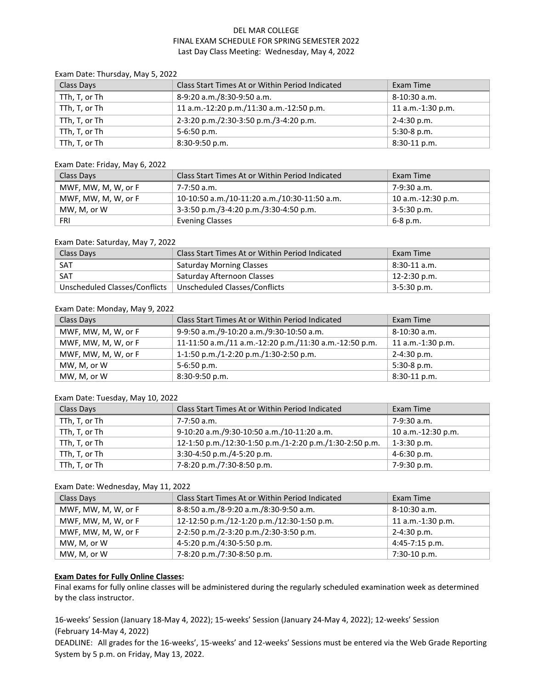# DEL MAR COLLEGE FINAL EXAM SCHEDULE FOR SPRING SEMESTER 2022 Last Day Class Meeting: Wednesday, May 4, 2022

| $1.111$ $1.1101300$ $1.1101$ $1.100$ $1.100$ $1.100$ |                                                 |                   |
|------------------------------------------------------|-------------------------------------------------|-------------------|
| Class Days                                           | Class Start Times At or Within Period Indicated | Exam Time         |
| TTh, T, or Th                                        | 8-9:20 a.m./8:30-9:50 a.m.                      | 8-10:30 a.m.      |
| TTh, T, or Th                                        | 11 a.m.-12:20 p.m./11:30 a.m.-12:50 p.m.        | 11 a.m.-1:30 p.m. |
| TTh, T, or Th                                        | 2-3:20 p.m./2:30-3:50 p.m./3-4:20 p.m.          | 2-4:30 p.m.       |
| TTh, T, or Th                                        | $5 - 6:50$ p.m.                                 | $5:30-8$ p.m.     |
| TTh, T, or Th                                        | $8:30-9:50$ p.m.                                | $8:30-11$ p.m.    |

#### Exam Date: Thursday, May 5, 2022

#### Exam Date: Friday, May 6, 2022

| Class Days          | Class Start Times At or Within Period Indicated | Exam Time          |
|---------------------|-------------------------------------------------|--------------------|
| MWF, MW, M, W, or F | 7-7:50 a.m.                                     | 7-9:30 a.m.        |
| MWF, MW, M, W, or F | 10-10:50 a.m./10-11:20 a.m./10:30-11:50 a.m.    | 10 a.m.-12:30 p.m. |
| MW, M, or W         | 3-3:50 p.m./3-4:20 p.m./3:30-4:50 p.m.          | 3-5:30 p.m.        |
| FRI                 | <b>Evening Classes</b>                          | 6-8 p.m.           |

## Exam Date: Saturday, May 7, 2022

| Class Days | Class Start Times At or Within Period Indicated               | Exam Time           |
|------------|---------------------------------------------------------------|---------------------|
| . SAT      | <b>Saturday Morning Classes</b>                               | $8:30-11$ a.m.      |
| SAT        | Saturday Afternoon Classes                                    | $12 - 2:30$ p.m.    |
|            | Unscheduled Classes/Conflicts   Unscheduled Classes/Conflicts | $\perp$ 3-5:30 p.m. |

## Exam Date: Monday, May 9, 2022

| Class Days          | Class Start Times At or Within Period Indicated        | Exam Time         |
|---------------------|--------------------------------------------------------|-------------------|
| MWF, MW, M, W, or F | 9-9:50 a.m./9-10:20 a.m./9:30-10:50 a.m.               | 8-10:30 a.m.      |
| MWF, MW, M, W, or F | 11-11:50 a.m./11 a.m.-12:20 p.m./11:30 a.m.-12:50 p.m. | 11 a.m.-1:30 p.m. |
| MWF, MW, M, W, or F | 1-1:50 p.m./1-2:20 p.m./1:30-2:50 p.m.                 | 2-4:30 p.m.       |
| MW, M, or W         | $5-6:50$ p.m.                                          | $5:30-8$ p.m.     |
| MW, M, or W         | 8:30-9:50 p.m.                                         | $8:30-11$ p.m.    |

## Exam Date: Tuesday, May 10, 2022

| Class Days    | Class Start Times At or Within Period Indicated         | Exam Time          |
|---------------|---------------------------------------------------------|--------------------|
| TTh, T, or Th | 7-7:50 a.m.                                             | 7-9:30 a.m.        |
| TTh, T, or Th | 9-10:20 a.m./9:30-10:50 a.m./10-11:20 a.m.              | 10 a.m.-12:30 p.m. |
| TTh, T, or Th | 12-1:50 p.m./12:30-1:50 p.m./1-2:20 p.m./1:30-2:50 p.m. | $1-3:30$ p.m.      |
| TTh, T, or Th | 3:30-4:50 p.m./4-5:20 p.m.                              | 4-6:30 p.m.        |
| TTh, T, or Th | 7-8:20 p.m./7:30-8:50 p.m.                              | 7-9:30 p.m.        |

#### Exam Date: Wednesday, May 11, 2022

| Class Days          | Class Start Times At or Within Period Indicated | Exam Time           |
|---------------------|-------------------------------------------------|---------------------|
| MWF, MW, M, W, or F | 8-8:50 a.m./8-9:20 a.m./8:30-9:50 a.m.          | 8-10:30 a.m.        |
| MWF, MW, M, W, or F | 12-12:50 p.m./12-1:20 p.m./12:30-1:50 p.m.      | $11$ a.m.-1:30 p.m. |
| MWF, MW, M, W, or F | 2-2:50 p.m./2-3:20 p.m./2:30-3:50 p.m.          | 2-4:30 p.m.         |
| MW, M, or W         | 4-5:20 p.m./4:30-5:50 p.m.                      | 4:45-7:15 p.m.      |
| MW, M, or W         | 7-8:20 p.m./7:30-8:50 p.m.                      | 7:30-10 p.m.        |

# **Exam Dates for Fully Online Classes:**

Final exams for fully online classes will be administered during the regularly scheduled examination week as determined by the class instructor.

16-weeks' Session (January 18-May 4, 2022); 15-weeks' Session (January 24-May 4, 2022); 12-weeks' Session (February 14-May 4, 2022)

DEADLINE: All grades for the 16-weeks', 15-weeks' and 12-weeks' Sessions must be entered via the Web Grade Reporting System by 5 p.m. on Friday, May 13, 2022.